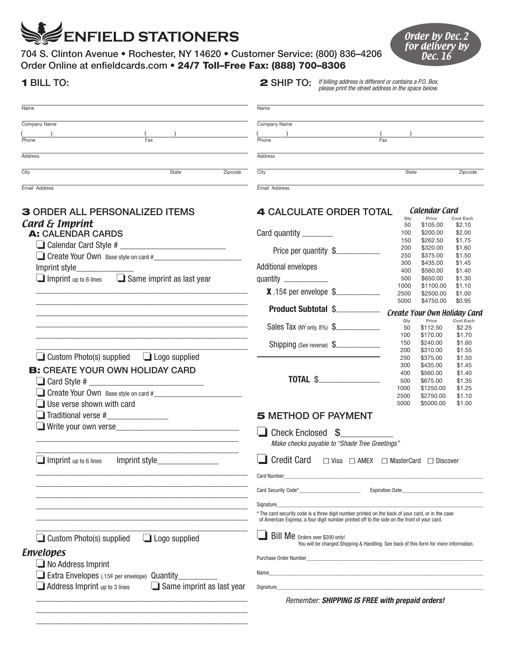## **ENFIELD STATIONERS**

 $\overline{\phantom{a}}$  , and the contract of the contract of the contract of the contract of the contract of the contract of the contract of the contract of the contract of the contract of the contract of the contract of the contrac  $\overline{\phantom{a}}$  ,  $\overline{\phantom{a}}$  ,  $\overline{\phantom{a}}$  ,  $\overline{\phantom{a}}$  ,  $\overline{\phantom{a}}$  ,  $\overline{\phantom{a}}$  ,  $\overline{\phantom{a}}$  ,  $\overline{\phantom{a}}$  ,  $\overline{\phantom{a}}$  ,  $\overline{\phantom{a}}$  ,  $\overline{\phantom{a}}$  ,  $\overline{\phantom{a}}$  ,  $\overline{\phantom{a}}$  ,  $\overline{\phantom{a}}$  ,  $\overline{\phantom{a}}$  ,  $\overline{\phantom{a}}$ 

704 S. Clinton Avenue • Rochester, NY 14620 • Customer Service: (800) 836–4206 Order Online at enfieldcards.com • 24/7 Toll–Free Fax: (888) 700–8306

| <b>Order by Dec. 2</b> |  |
|------------------------|--|
| for delivery by        |  |
| Dec. 16                |  |

| <b>1 BILL TO:</b>                                                 | If billing address is different or contains a P.O. Box,<br>$2$ SHIP TO:<br>please print the street address in the space below.                                                                   |  |  |
|-------------------------------------------------------------------|--------------------------------------------------------------------------------------------------------------------------------------------------------------------------------------------------|--|--|
| Name                                                              | Name                                                                                                                                                                                             |  |  |
| Company Name                                                      | Company Name                                                                                                                                                                                     |  |  |
|                                                                   |                                                                                                                                                                                                  |  |  |
| Fax<br>Phone                                                      | Fax<br>Phone                                                                                                                                                                                     |  |  |
| Address                                                           | Address                                                                                                                                                                                          |  |  |
| City<br>State                                                     | City<br>Zipcode<br>State<br>Zipcode                                                                                                                                                              |  |  |
| Email Address                                                     | Email Address                                                                                                                                                                                    |  |  |
| <b>3 ORDER ALL PERSONALIZED ITEMS</b>                             | Calendar Card<br><b>4 CALCULATE ORDER TOTAL</b>                                                                                                                                                  |  |  |
| Card & Imprint                                                    | Price<br>Cost Each<br>Qty<br>50<br>\$105.00<br>\$2.10                                                                                                                                            |  |  |
| <b>A: CALENDAR CARDS</b>                                          | \$2.00<br>Card quantity _________<br>\$200.00<br>100                                                                                                                                             |  |  |
|                                                                   | \$262.50<br>150<br>\$1.75<br>\$320.00<br>\$1.60<br>200                                                                                                                                           |  |  |
|                                                                   | Price per quantity \$<br>250<br>\$375.00<br>\$1.50                                                                                                                                               |  |  |
| Imprint style_                                                    | 300<br>\$435.00<br>\$1.45<br>Additional envelopes                                                                                                                                                |  |  |
| $\Box$ Imprint up to 6 lines $\Box$ Same imprint as last year     | 400<br>\$560.00<br>\$1.40<br>\$650.00<br>500<br>\$1.30                                                                                                                                           |  |  |
|                                                                   | quantity ____________<br>1000<br>\$1100.00<br>\$1.10                                                                                                                                             |  |  |
|                                                                   | $X.15$ ¢ per envelope $\frac{1}{2}$<br>2500<br>\$2500.00<br>\$1.00                                                                                                                               |  |  |
|                                                                   | 5000<br>\$4750.00<br>\$0.95<br><b>Product Subtotal \$</b>                                                                                                                                        |  |  |
|                                                                   | Create Your Own Holiday Card<br>Cost Each<br>Qty<br>Price                                                                                                                                        |  |  |
|                                                                   | Sales Tax (NY only, 8%) \$<br>50<br>\$112.50<br>\$2.25                                                                                                                                           |  |  |
|                                                                   | \$170.00<br>100<br>\$1.70<br>150<br>\$240.00<br>\$1.60                                                                                                                                           |  |  |
|                                                                   | Shipping (See reverse) \$<br>200<br>\$310.00<br>\$1.55                                                                                                                                           |  |  |
| $\Box$ Custom Photo(s) supplied<br>$\Box$ Logo supplied           | 250<br>\$375.00<br>\$1.50                                                                                                                                                                        |  |  |
| <b>B:</b> CREATE YOUR OWN HOLIDAY CARD                            | \$435.00<br>300<br>\$1.45<br>\$560.00<br>400<br>\$1.40                                                                                                                                           |  |  |
|                                                                   | 500<br>\$675.00<br>\$1.35                                                                                                                                                                        |  |  |
| Create Your Own Base style on card #                              | 1000<br>\$1250.00<br>\$1.25                                                                                                                                                                      |  |  |
| Use verse shown with card                                         | \$2750.00<br>\$1.10<br>2500<br>5000<br>\$5000.00<br>\$1.00                                                                                                                                       |  |  |
| $\Box$ Traditional verse # $\Box$                                 | <b>5 METHOD OF PAYMENT</b>                                                                                                                                                                       |  |  |
|                                                                   |                                                                                                                                                                                                  |  |  |
|                                                                   | Check Enclosed \$<br>Make checks payable to "Shade Tree Greetings"                                                                                                                               |  |  |
| Imprint up to 6 lines<br>Imprint style_                           | <b>Credit Card</b><br>$\Box$ Visa $\Box$ AMEX $\Box$ MasterCard $\Box$ Discover                                                                                                                  |  |  |
|                                                                   | <b>Card Number</b>                                                                                                                                                                               |  |  |
|                                                                   | <b>Expiration Date_</b>                                                                                                                                                                          |  |  |
|                                                                   | Signature_                                                                                                                                                                                       |  |  |
|                                                                   | * The card security code is a three digit number printed on the back of your card, or in the case<br>of American Express, a four digit number printed off to the side on the front of your card. |  |  |
| $\Box$ Custom Photo(s) supplied<br>$\Box$ Logo supplied           | Bill Me orders over \$200 only!<br>You will be charged Shipping & Handling. See back of this form for more information.                                                                          |  |  |
| <b>Envelopes</b>                                                  |                                                                                                                                                                                                  |  |  |
| $\blacksquare$ No Address Imprint                                 | Purchase Order Number <b>Example 2018</b>                                                                                                                                                        |  |  |
| Extra Envelopes (.15¢ per envelope) Quantity                      | Name                                                                                                                                                                                             |  |  |
| Address Imprint up to 3 lines<br>$\Box$ Same imprint as last year | Signature                                                                                                                                                                                        |  |  |
|                                                                   | Remember: SHIPPING IS FREE with prepaid orders!                                                                                                                                                  |  |  |